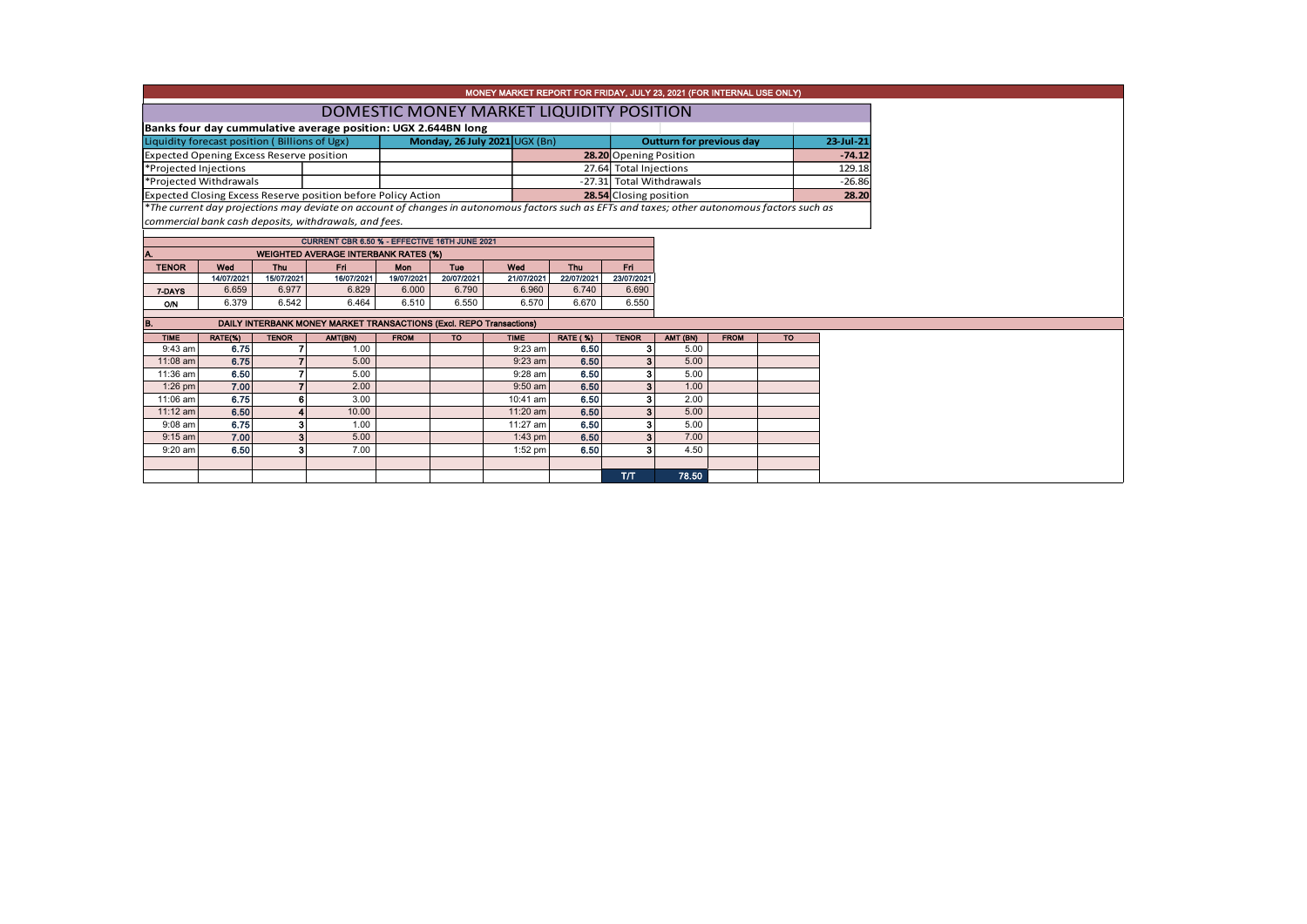| MONEY MARKET REPORT FOR FRIDAY, JULY 23, 2021 (FOR INTERNAL USE ONLY) |                                          |                                                 |                                                                     |                               |            |                                                                                                                                               |                         |                          |                                              |             |           |       |  |  |  |
|-----------------------------------------------------------------------|------------------------------------------|-------------------------------------------------|---------------------------------------------------------------------|-------------------------------|------------|-----------------------------------------------------------------------------------------------------------------------------------------------|-------------------------|--------------------------|----------------------------------------------|-------------|-----------|-------|--|--|--|
|                                                                       | DOMESTIC MONEY MARKET LIQUIDITY POSITION |                                                 |                                                                     |                               |            |                                                                                                                                               |                         |                          |                                              |             |           |       |  |  |  |
|                                                                       |                                          |                                                 | Banks four day cummulative average position: UGX 2.644BN long       |                               |            |                                                                                                                                               |                         |                          |                                              |             |           |       |  |  |  |
|                                                                       |                                          | Liquidity forecast position (Billions of Ugx)   |                                                                     | Monday, 26 July 2021 UGX (Bn) |            |                                                                                                                                               |                         |                          | <b>Outturn for previous day</b><br>23-Jul-21 |             |           |       |  |  |  |
|                                                                       |                                          | <b>Expected Opening Excess Reserve position</b> |                                                                     |                               |            |                                                                                                                                               |                         | 28.20 Opening Position   |                                              |             | $-74.12$  |       |  |  |  |
| *Projected Injections                                                 |                                          |                                                 |                                                                     |                               |            |                                                                                                                                               |                         | 27.64 Total Injections   |                                              |             | 129.18    |       |  |  |  |
|                                                                       | *Projected Withdrawals                   |                                                 |                                                                     |                               |            |                                                                                                                                               |                         | -27.31 Total Withdrawals |                                              |             | $-26.86$  |       |  |  |  |
|                                                                       |                                          |                                                 | Expected Closing Excess Reserve position before Policy Action       |                               |            |                                                                                                                                               |                         | 28.54 Closing position   |                                              |             |           | 28.20 |  |  |  |
|                                                                       |                                          |                                                 |                                                                     |                               |            | *The current day projections may deviate on account of changes in autonomous factors such as EFTs and taxes; other autonomous factors such as |                         |                          |                                              |             |           |       |  |  |  |
|                                                                       |                                          |                                                 | commercial bank cash deposits, withdrawals, and fees.               |                               |            |                                                                                                                                               |                         |                          |                                              |             |           |       |  |  |  |
|                                                                       |                                          |                                                 | CURRENT CBR 6.50 % - EFFECTIVE 16TH JUNE 2021                       |                               |            |                                                                                                                                               |                         |                          |                                              |             |           |       |  |  |  |
|                                                                       |                                          |                                                 | <b>WEIGHTED AVERAGE INTERBANK RATES (%)</b>                         |                               |            |                                                                                                                                               |                         |                          |                                              |             |           |       |  |  |  |
| <b>TENOR</b>                                                          | Wed                                      | Thu                                             | Fri                                                                 | <b>Mon</b>                    | Tue        | Wed                                                                                                                                           | Fri<br><b>Thu</b>       |                          |                                              |             |           |       |  |  |  |
|                                                                       | 14/07/2021                               | 15/07/2021                                      | 16/07/2021                                                          | 19/07/2021                    | 20/07/2021 | 21/07/2021                                                                                                                                    | 22/07/2021              | 23/07/2021               |                                              |             |           |       |  |  |  |
| 7-DAYS                                                                | 6.659                                    | 6.977                                           | 6.829                                                               | 6.000                         | 6.790      | 6.960                                                                                                                                         | 6.740                   | 6.690                    |                                              |             |           |       |  |  |  |
| O/N                                                                   | 6.379                                    | 6.542                                           | 6.464                                                               | 6.510                         | 6.550      | 6.570                                                                                                                                         | 6.670                   | 6.550                    |                                              |             |           |       |  |  |  |
|                                                                       |                                          |                                                 |                                                                     |                               |            |                                                                                                                                               |                         |                          |                                              |             |           |       |  |  |  |
| B.                                                                    |                                          |                                                 | DAILY INTERBANK MONEY MARKET TRANSACTIONS (Excl. REPO Transactions) |                               |            |                                                                                                                                               |                         |                          |                                              |             |           |       |  |  |  |
| <b>TIME</b><br>$9:43$ am                                              | RATE(%)<br>6.75                          | <b>TENOR</b><br>$\overline{7}$                  | AMT(BN)<br>1.00                                                     | <b>FROM</b>                   | <b>TO</b>  | <b>TIME</b><br>$9:23$ am                                                                                                                      | <b>RATE (%)</b><br>6.50 | <b>TENOR</b><br>3        | AMT (BN)<br>5.00                             | <b>FROM</b> | <b>TO</b> |       |  |  |  |
| 11:08 am                                                              | 6.75                                     | $\overline{7}$                                  | 5.00                                                                |                               |            | $9:23$ am                                                                                                                                     | 6.50                    | з                        | 5.00                                         |             |           |       |  |  |  |
| 11:36 am                                                              | 6.50                                     | 7                                               | 5.00                                                                |                               |            | $9:28$ am                                                                                                                                     | 6.50                    | з                        | 5.00                                         |             |           |       |  |  |  |
| 1:26 pm                                                               | 7.00                                     | $\overline{7}$                                  | 2.00                                                                |                               |            | $9:50$ am                                                                                                                                     | 6.50                    | 3                        | 1.00                                         |             |           |       |  |  |  |
| 11:06 am                                                              | 6.75                                     | 6                                               | 3.00                                                                |                               |            | 10:41 am                                                                                                                                      | 6.50                    | з                        | 2.00                                         |             |           |       |  |  |  |
| $11:12$ am                                                            | 6.50                                     |                                                 | 10.00                                                               |                               |            | 11:20 am                                                                                                                                      | 6.50                    | З                        | 5.00                                         |             |           |       |  |  |  |
| $9:08$ am                                                             | 6.75                                     | з                                               | 1.00                                                                |                               |            | 11:27 am                                                                                                                                      | 6.50                    | з                        | 5.00                                         |             |           |       |  |  |  |
| $9:15$ am                                                             | 7.00                                     | 3                                               | 5.00                                                                |                               |            | $1:43$ pm                                                                                                                                     | 6.50                    |                          | 7.00                                         |             |           |       |  |  |  |
| $9:20$ am                                                             | 6.50                                     | 3                                               | 7.00                                                                |                               |            | 1:52 pm                                                                                                                                       | 6.50                    | я                        | 4.50                                         |             |           |       |  |  |  |
|                                                                       |                                          |                                                 |                                                                     |                               |            |                                                                                                                                               |                         |                          |                                              |             |           |       |  |  |  |
|                                                                       |                                          |                                                 |                                                                     |                               |            |                                                                                                                                               |                         | T/T                      | 78.50                                        |             |           |       |  |  |  |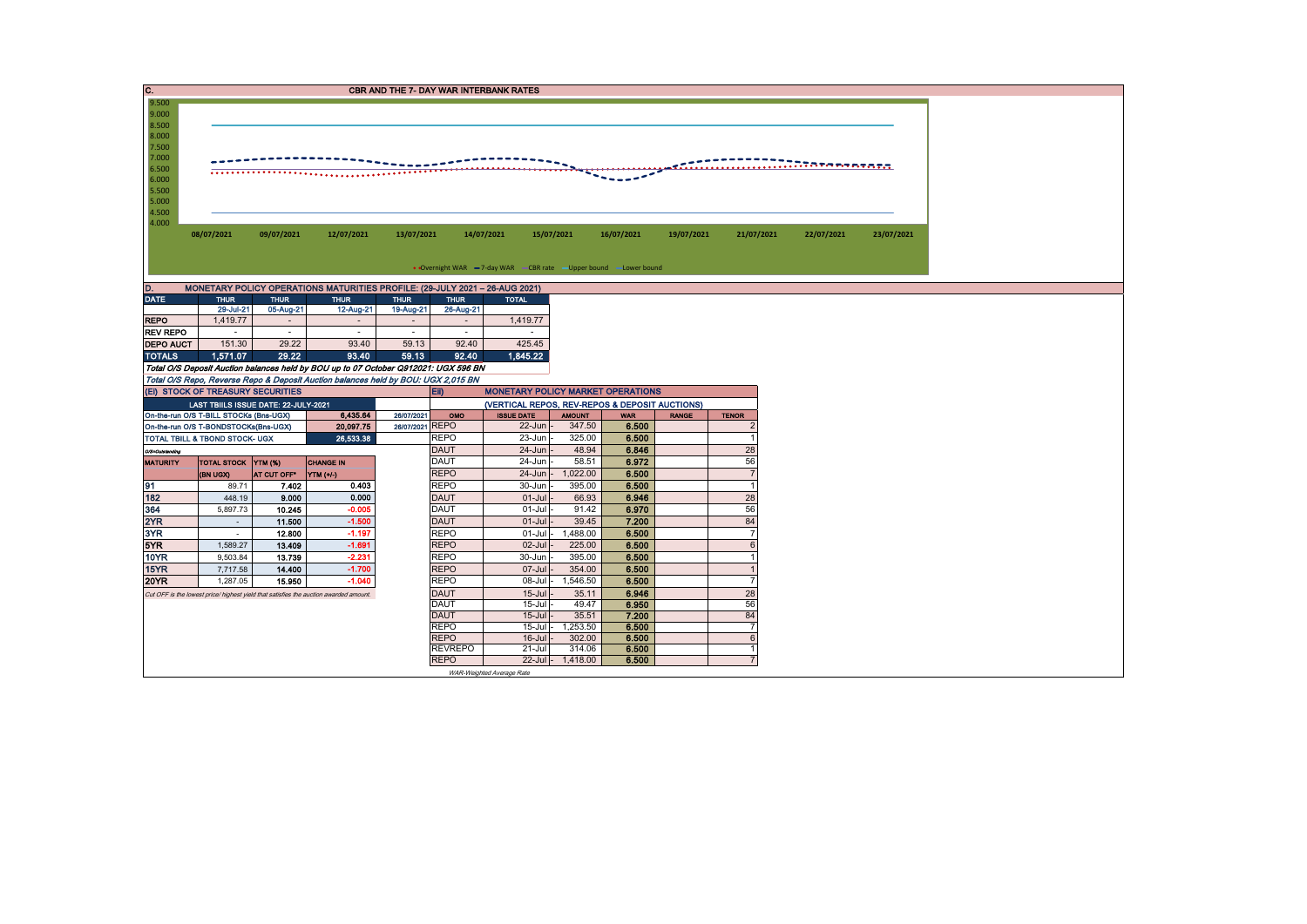| C.<br><b>CBR AND THE 7- DAY WAR INTERBANK RATES</b>                               |                                                                                |             |                                                                                       |                 |             |                                                |                         |                     |              |                                  |                                                           |            |  |  |  |
|-----------------------------------------------------------------------------------|--------------------------------------------------------------------------------|-------------|---------------------------------------------------------------------------------------|-----------------|-------------|------------------------------------------------|-------------------------|---------------------|--------------|----------------------------------|-----------------------------------------------------------|------------|--|--|--|
| 9.500                                                                             |                                                                                |             |                                                                                       |                 |             |                                                |                         |                     |              |                                  |                                                           |            |  |  |  |
| 9.000                                                                             |                                                                                |             |                                                                                       |                 |             |                                                |                         |                     |              |                                  |                                                           |            |  |  |  |
| 8.500                                                                             |                                                                                |             |                                                                                       |                 |             |                                                |                         |                     |              |                                  |                                                           |            |  |  |  |
| 8.000                                                                             |                                                                                |             |                                                                                       |                 |             |                                                |                         |                     |              |                                  |                                                           |            |  |  |  |
| 7.500<br>7.000                                                                    |                                                                                |             |                                                                                       |                 |             |                                                |                         |                     |              |                                  |                                                           |            |  |  |  |
| 6.500                                                                             |                                                                                |             |                                                                                       |                 |             |                                                |                         |                     |              |                                  | $\ldots \ldots \ldots \ldots \ldots \ldots \ldots \ldots$ |            |  |  |  |
| 6.000                                                                             |                                                                                |             |                                                                                       |                 |             |                                                |                         |                     |              |                                  |                                                           |            |  |  |  |
| 5.500                                                                             |                                                                                |             |                                                                                       |                 |             |                                                |                         |                     |              |                                  |                                                           |            |  |  |  |
| 5.000                                                                             |                                                                                |             |                                                                                       |                 |             |                                                |                         |                     |              |                                  |                                                           |            |  |  |  |
| 4.500                                                                             |                                                                                |             |                                                                                       |                 |             |                                                |                         |                     |              |                                  |                                                           |            |  |  |  |
| 4.000                                                                             | 14/07/2021<br>15/07/2021                                                       |             |                                                                                       |                 |             |                                                |                         |                     |              |                                  |                                                           |            |  |  |  |
|                                                                                   | 08/07/2021                                                                     | 09/07/2021  | 12/07/2021                                                                            | 13/07/2021      |             |                                                |                         | 16/07/2021          | 19/07/2021   | 21/07/2021                       | 22/07/2021                                                | 23/07/2021 |  |  |  |
|                                                                                   |                                                                                |             |                                                                                       |                 |             |                                                |                         |                     |              |                                  |                                                           |            |  |  |  |
| • Overnight WAR -7-day WAR - CBR rate - Upper bound - Lower bound                 |                                                                                |             |                                                                                       |                 |             |                                                |                         |                     |              |                                  |                                                           |            |  |  |  |
|                                                                                   |                                                                                |             |                                                                                       |                 |             |                                                |                         |                     |              |                                  |                                                           |            |  |  |  |
| D.<br>MONETARY POLICY OPERATIONS MATURITIES PROFILE: (29-JULY 2021 - 26-AUG 2021) |                                                                                |             |                                                                                       |                 |             |                                                |                         |                     |              |                                  |                                                           |            |  |  |  |
| <b>DATE</b>                                                                       | <b>THUR</b>                                                                    | <b>THUR</b> | <b>THUR</b>                                                                           | <b>THUR</b>     | <b>THUR</b> | <b>TOTAL</b>                                   |                         |                     |              |                                  |                                                           |            |  |  |  |
|                                                                                   | 29-Jul-21                                                                      | 05-Aug-21   | 12-Aug-21                                                                             | 19-Aug-21       | 26-Aug-21   |                                                |                         |                     |              |                                  |                                                           |            |  |  |  |
| <b>REPO</b>                                                                       | 1,419.77                                                                       | $\sim$      | $\sim$                                                                                | $\sim$          | $\sim$      | 1,419.77                                       |                         |                     |              |                                  |                                                           |            |  |  |  |
| <b>REV REPO</b>                                                                   | $\sim$                                                                         | $\sim$      | $\sim$                                                                                | $\sim$          | $\sim$      |                                                |                         |                     |              |                                  |                                                           |            |  |  |  |
| <b>DEPO AUCT</b>                                                                  | 151.30                                                                         | 29.22       | 93.40                                                                                 | 59.13           | 92.40       | 425.45                                         |                         |                     |              |                                  |                                                           |            |  |  |  |
| <b>TOTALS</b>                                                                     | 1,571.07                                                                       | 29.22       | 93.40                                                                                 | 59.13           | 92.40       | 1,845.22                                       |                         |                     |              |                                  |                                                           |            |  |  |  |
|                                                                                   |                                                                                |             | Total O/S Deposit Auction balances held by BOU up to 07 October Q912021: UGX 596 BN   |                 |             |                                                |                         |                     |              |                                  |                                                           |            |  |  |  |
|                                                                                   |                                                                                |             | Total O/S Repo, Reverse Repo & Deposit Auction balances held by BOU: UGX 2,015 BN     |                 |             |                                                |                         |                     |              |                                  |                                                           |            |  |  |  |
|                                                                                   | (EI) STOCK OF TREASURY SECURITIES                                              |             |                                                                                       | Eii)            |             | <b>MONETARY POLICY MARKET OPERATIONS</b>       |                         |                     |              |                                  |                                                           |            |  |  |  |
|                                                                                   | LAST TBIILS ISSUE DATE: 22-JULY-2021                                           |             |                                                                                       | 26/07/2021      | OMO         | (VERTICAL REPOS, REV-REPOS & DEPOSIT AUCTIONS) |                         |                     |              |                                  |                                                           |            |  |  |  |
|                                                                                   | On-the-run O/S T-BILL STOCKs (Bns-UGX)<br>On-the-run O/S T-BONDSTOCKs(Bns-UGX) |             | 6,435.64<br>20,097.75                                                                 | 26/07/2021 REPO |             | <b>ISSUE DATE</b><br>$22$ -Jun                 | <b>AMOUNT</b><br>347.50 | <b>WAR</b><br>6.500 | <b>RANGE</b> | <b>TENOR</b><br>$\overline{2}$   |                                                           |            |  |  |  |
|                                                                                   | TOTAL TBILL & TBOND STOCK- UGX                                                 |             | 26.533.38                                                                             |                 | <b>REPO</b> | 23-Jun                                         | 325.00                  | 6.500               |              | $\overline{1}$                   |                                                           |            |  |  |  |
| O/S=Outstanding                                                                   |                                                                                |             |                                                                                       |                 | <b>DAUT</b> | $24 - Jun$                                     | 48.94                   | 6.846               |              | 28                               |                                                           |            |  |  |  |
| <b>MATURITY</b>                                                                   | TOTAL STOCK YTM (%)                                                            |             | <b>CHANGE IN</b>                                                                      |                 | <b>DAUT</b> | 24-Jun                                         | 58.51                   | 6.972               |              | 56                               |                                                           |            |  |  |  |
|                                                                                   | (BN UGX)                                                                       | AT CUT OFF* | YTM (+/)                                                                              |                 | <b>REPO</b> | $24 - Jun$                                     | 1.022.00                | 6.500               |              | $\overline{7}$                   |                                                           |            |  |  |  |
| 191                                                                               | 89.71                                                                          | 7.402       | 0.403                                                                                 |                 | <b>REPO</b> | 30-Jun                                         | 395.00                  | 6.500               |              | $\overline{1}$                   |                                                           |            |  |  |  |
| 182                                                                               | 448.19                                                                         | 9.000       | 0.000                                                                                 |                 | <b>DAUT</b> | $01 -$ Jul                                     | 66.93                   | 6.946               |              | 28                               |                                                           |            |  |  |  |
| 364                                                                               | 5,897.73                                                                       | 10.245      | $-0.005$                                                                              |                 | <b>DAUT</b> | 01-Jul                                         | 91.42                   | 6.970               |              | 56                               |                                                           |            |  |  |  |
| 2YR                                                                               | $\sim$                                                                         | 11.500      | $-1.500$                                                                              |                 | <b>DAUT</b> | $01 -$ Jul                                     | 39.45                   | 7.200               |              | 84                               |                                                           |            |  |  |  |
| 3YR                                                                               | $\sim$                                                                         | 12.800      | $-1.197$                                                                              |                 | <b>REPO</b> | $01-J$ ul                                      | 1,488.00                | 6.500               |              |                                  |                                                           |            |  |  |  |
| 5YR                                                                               | 1,589.27                                                                       | 13.409      | $-1.691$                                                                              |                 | <b>REPO</b> | $02$ -Jul                                      | 225.00                  | 6.500               |              | 6                                |                                                           |            |  |  |  |
| 10YR                                                                              | 9,503.84                                                                       | 13.739      | $-2.231$                                                                              |                 | <b>REPO</b> | 30-Jun                                         | 395.00                  | 6.500               |              | $\overline{1}$                   |                                                           |            |  |  |  |
| 15YR                                                                              | 7,717.58                                                                       | 14.400      | $-1.700$                                                                              |                 | <b>REPO</b> | 07-Jul                                         | 354.00                  | 6.500               |              | $\overline{1}$                   |                                                           |            |  |  |  |
| <b>20YR</b>                                                                       | 1,287.05                                                                       | 15,950      | $-1.040$                                                                              |                 | <b>REPO</b> | 08-Jul                                         | 1,546.50                | 6.500               |              | $\overline{7}$                   |                                                           |            |  |  |  |
|                                                                                   |                                                                                |             | Cut OFF is the lowest price/ highest yield that satisfies the auction awarded amount. |                 | <b>DAUT</b> | $15 -$ Jul                                     | 35.11                   | 6.946               |              | 28                               |                                                           |            |  |  |  |
|                                                                                   |                                                                                |             |                                                                                       |                 | <b>DAUT</b> | 15-Jul                                         | 49.47                   | 6.950               |              | 56                               |                                                           |            |  |  |  |
|                                                                                   |                                                                                |             |                                                                                       |                 | <b>DAUT</b> | $15 -$ Jul                                     | 35.51                   | 7.200               |              | 84                               |                                                           |            |  |  |  |
|                                                                                   |                                                                                |             |                                                                                       |                 | <b>REPO</b> | $15 -$ Jul                                     | 1,253.50                | 6.500               |              | $\overline{7}$                   |                                                           |            |  |  |  |
|                                                                                   |                                                                                |             |                                                                                       |                 | <b>REPO</b> | $16$ -Jul<br>$21 -$ Jul                        | 302.00<br>314.06        | 6.500<br>6.500      |              | $6\phantom{1}$<br>$\overline{1}$ |                                                           |            |  |  |  |
| <b>REVREPO</b><br><b>REPO</b><br>22-Jul - 1,418.00<br>6.500<br>$\overline{7}$     |                                                                                |             |                                                                                       |                 |             |                                                |                         |                     |              |                                  |                                                           |            |  |  |  |
| WAR-Weighted Average Rate                                                         |                                                                                |             |                                                                                       |                 |             |                                                |                         |                     |              |                                  |                                                           |            |  |  |  |
|                                                                                   |                                                                                |             |                                                                                       |                 |             |                                                |                         |                     |              |                                  |                                                           |            |  |  |  |